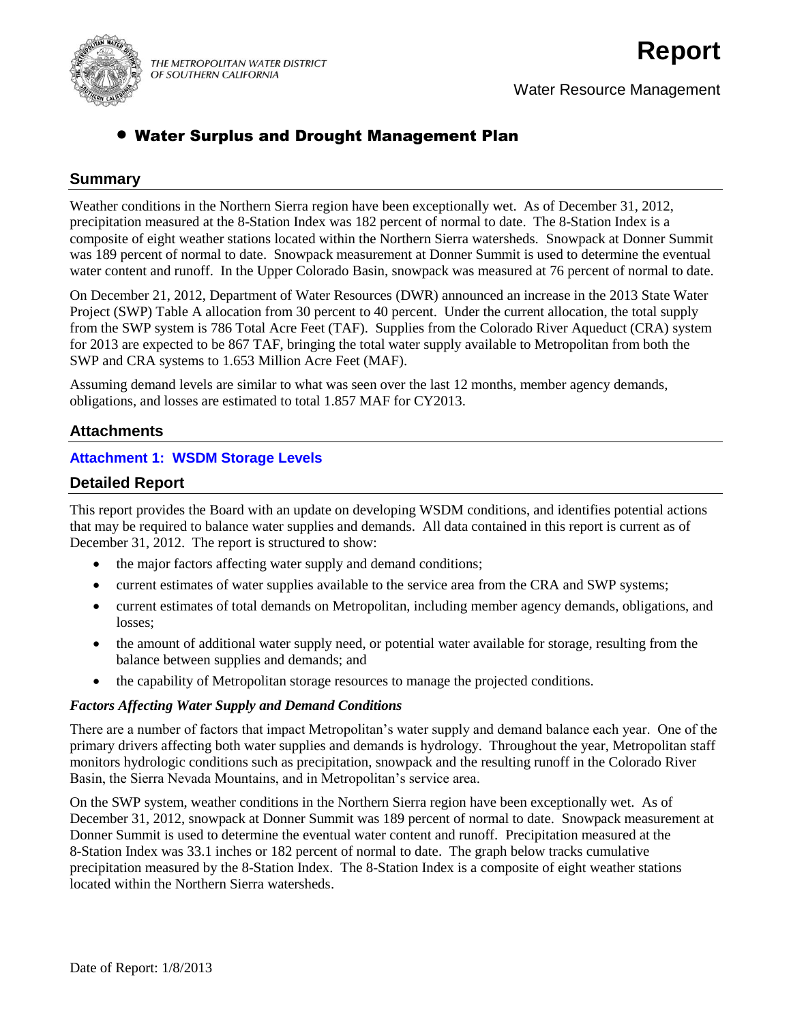

Water Resource Management

## Water Surplus and Drought Management Plan

## **Summary**

Weather conditions in the Northern Sierra region have been exceptionally wet. As of December 31, 2012, precipitation measured at the 8-Station Index was 182 percent of normal to date. The 8-Station Index is a composite of eight weather stations located within the Northern Sierra watersheds. Snowpack at Donner Summit was 189 percent of normal to date. Snowpack measurement at Donner Summit is used to determine the eventual water content and runoff. In the Upper Colorado Basin, snowpack was measured at 76 percent of normal to date.

On December 21, 2012, Department of Water Resources (DWR) announced an increase in the 2013 State Water Project (SWP) Table A allocation from 30 percent to 40 percent. Under the current allocation, the total supply from the SWP system is 786 Total Acre Feet (TAF). Supplies from the Colorado River Aqueduct (CRA) system for 2013 are expected to be 867 TAF, bringing the total water supply available to Metropolitan from both the SWP and CRA systems to 1.653 Million Acre Feet (MAF).

Assuming demand levels are similar to what was seen over the last 12 months, member agency demands, obligations, and losses are estimated to total 1.857 MAF for CY2013.

## **Attachments**

#### **Attachment 1: WSDM Storage Levels**

## **Detailed Report**

This report provides the Board with an update on developing WSDM conditions, and identifies potential actions that may be required to balance water supplies and demands. All data contained in this report is current as of December 31, 2012. The report is structured to show:

- the major factors affecting water supply and demand conditions;
- current estimates of water supplies available to the service area from the CRA and SWP systems;
- current estimates of total demands on Metropolitan, including member agency demands, obligations, and losses;
- the amount of additional water supply need, or potential water available for storage, resulting from the balance between supplies and demands; and
- the capability of Metropolitan storage resources to manage the projected conditions.

#### *Factors Affecting Water Supply and Demand Conditions*

There are a number of factors that impact Metropolitan's water supply and demand balance each year. One of the primary drivers affecting both water supplies and demands is hydrology. Throughout the year, Metropolitan staff monitors hydrologic conditions such as precipitation, snowpack and the resulting runoff in the Colorado River Basin, the Sierra Nevada Mountains, and in Metropolitan's service area.

On the SWP system, weather conditions in the Northern Sierra region have been exceptionally wet. As of December 31, 2012, snowpack at Donner Summit was 189 percent of normal to date. Snowpack measurement at Donner Summit is used to determine the eventual water content and runoff. Precipitation measured at the 8-Station Index was 33.1 inches or 182 percent of normal to date. The graph below tracks cumulative precipitation measured by the 8-Station Index. The 8-Station Index is a composite of eight weather stations located within the Northern Sierra watersheds.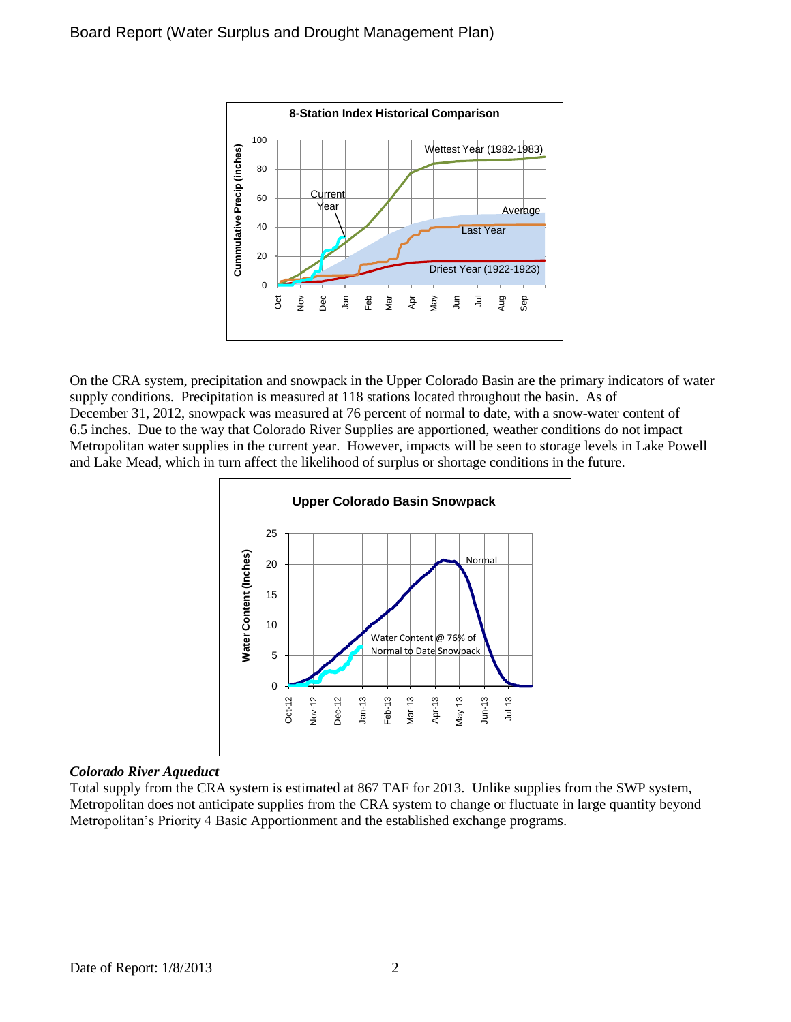

On the CRA system, precipitation and snowpack in the Upper Colorado Basin are the primary indicators of water supply conditions. Precipitation is measured at 118 stations located throughout the basin. As of December 31, 2012, snowpack was measured at 76 percent of normal to date, with a snow-water content of 6.5 inches. Due to the way that Colorado River Supplies are apportioned, weather conditions do not impact Metropolitan water supplies in the current year. However, impacts will be seen to storage levels in Lake Powell and Lake Mead, which in turn affect the likelihood of surplus or shortage conditions in the future.



#### *Colorado River Aqueduct*

Total supply from the CRA system is estimated at 867 TAF for 2013. Unlike supplies from the SWP system, Metropolitan does not anticipate supplies from the CRA system to change or fluctuate in large quantity beyond Metropolitan's Priority 4 Basic Apportionment and the established exchange programs.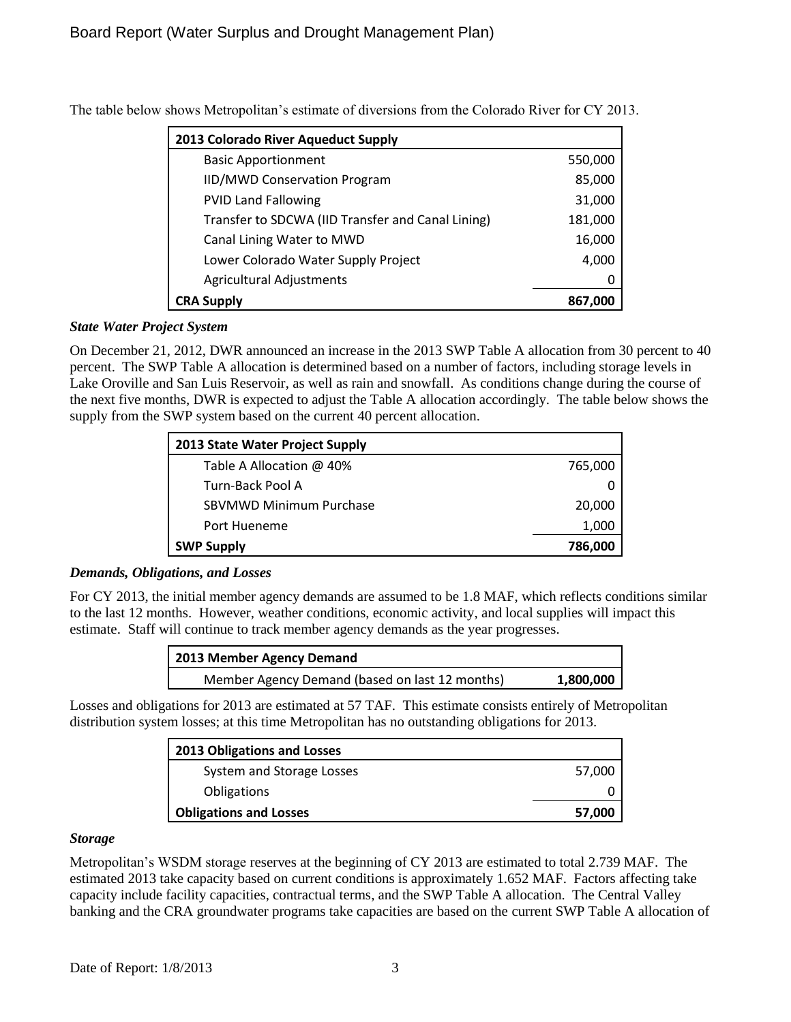| 2013 Colorado River Aqueduct Supply               |         |
|---------------------------------------------------|---------|
| <b>Basic Apportionment</b>                        | 550,000 |
| <b>IID/MWD Conservation Program</b>               | 85,000  |
| <b>PVID Land Fallowing</b>                        | 31,000  |
| Transfer to SDCWA (IID Transfer and Canal Lining) | 181,000 |
| Canal Lining Water to MWD                         | 16,000  |
| Lower Colorado Water Supply Project               | 4,000   |
| <b>Agricultural Adjustments</b>                   | 0       |
| <b>CRA Supply</b>                                 | 867,000 |

The table below shows Metropolitan's estimate of diversions from the Colorado River for CY 2013.

## *State Water Project System*

On December 21, 2012, DWR announced an increase in the 2013 SWP Table A allocation from 30 percent to 40 percent. The SWP Table A allocation is determined based on a number of factors, including storage levels in Lake Oroville and San Luis Reservoir, as well as rain and snowfall. As conditions change during the course of the next five months, DWR is expected to adjust the Table A allocation accordingly. The table below shows the supply from the SWP system based on the current 40 percent allocation.

| 2013 State Water Project Supply |         |
|---------------------------------|---------|
| Table A Allocation @ 40%        | 765,000 |
| Turn-Back Pool A                |         |
| <b>SBVMWD Minimum Purchase</b>  | 20,000  |
| Port Hueneme                    | 1,000   |
| <b>SWP Supply</b>               | 786,000 |

#### *Demands, Obligations, and Losses*

For CY 2013, the initial member agency demands are assumed to be 1.8 MAF, which reflects conditions similar to the last 12 months. However, weather conditions, economic activity, and local supplies will impact this estimate. Staff will continue to track member agency demands as the year progresses.

| 2013 Member Agency Demand                      |           |
|------------------------------------------------|-----------|
| Member Agency Demand (based on last 12 months) | 1,800,000 |

Losses and obligations for 2013 are estimated at 57 TAF. This estimate consists entirely of Metropolitan distribution system losses; at this time Metropolitan has no outstanding obligations for 2013.

| 2013 Obligations and Losses   |        |
|-------------------------------|--------|
| System and Storage Losses     | 57,000 |
| <b>Obligations</b>            |        |
| <b>Obligations and Losses</b> | 57,000 |

#### *Storage*

Metropolitan's WSDM storage reserves at the beginning of CY 2013 are estimated to total 2.739 MAF. The estimated 2013 take capacity based on current conditions is approximately 1.652 MAF. Factors affecting take capacity include facility capacities, contractual terms, and the SWP Table A allocation. The Central Valley banking and the CRA groundwater programs take capacities are based on the current SWP Table A allocation of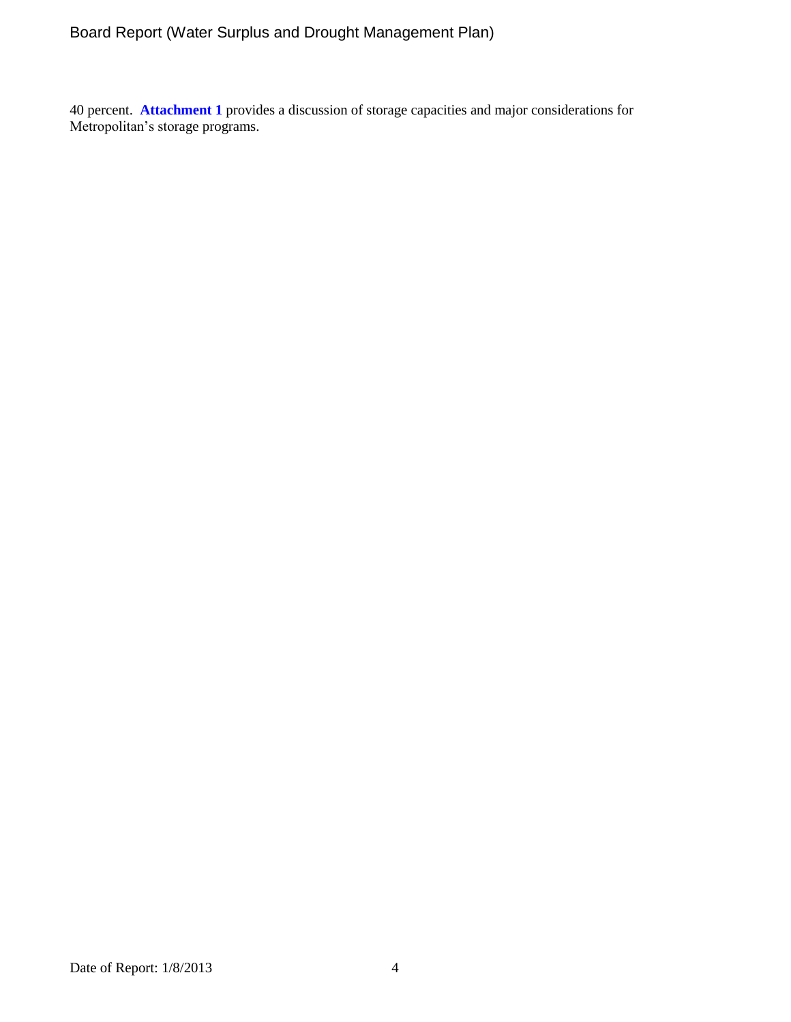# Board Report (Water Surplus and Drought Management Plan)

40 percent. **Attachment 1** provides a discussion of storage capacities and major considerations for Metropolitan's storage programs.